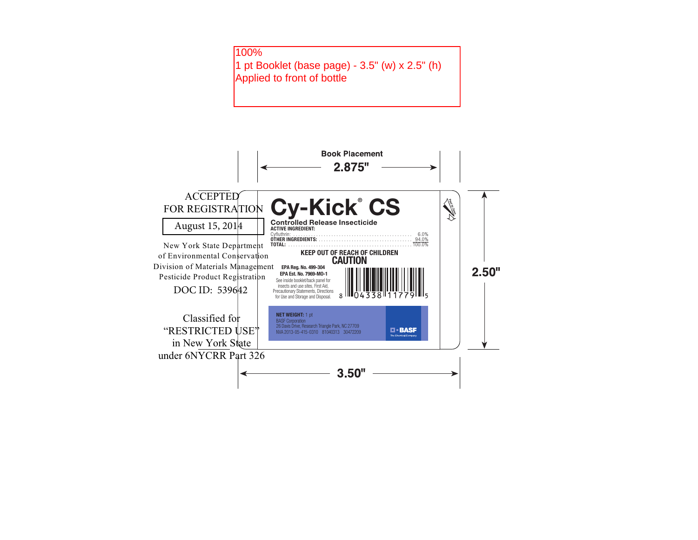

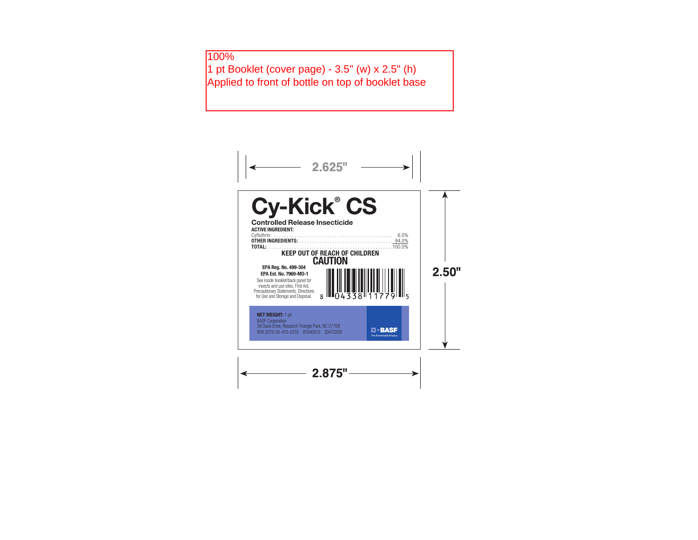## 100%

1 pt Booklet (cover page) - 3.5" (w) x 2.5" (h) Applied to front of bottle on top of booklet base

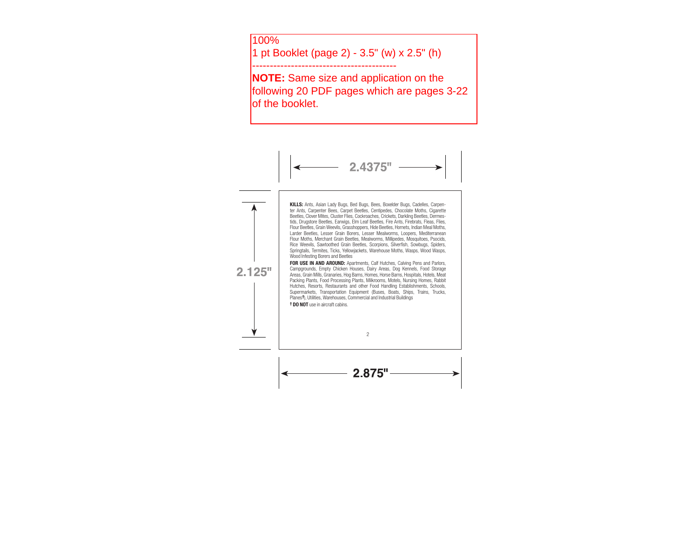100%

1 pt Booklet (page 2) - 3.5" (w) x 2.5" (h)

-----------------------------------------

**NOTE:** Same size and application on the following 20 PDF pages which are pages 3-22 lof the booklet.

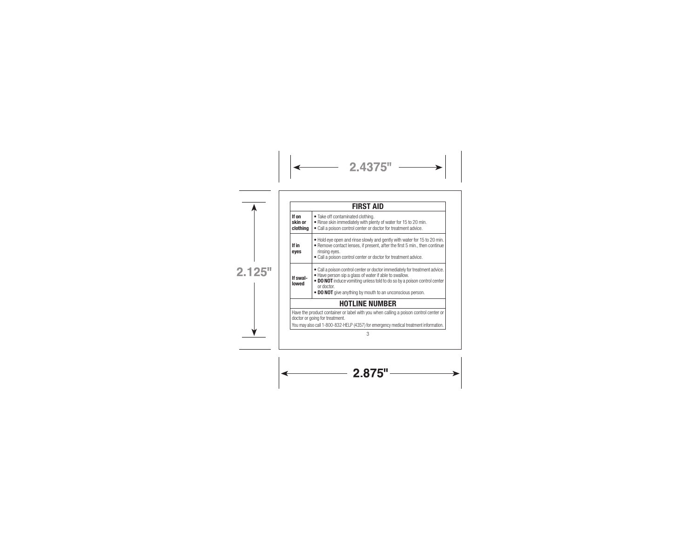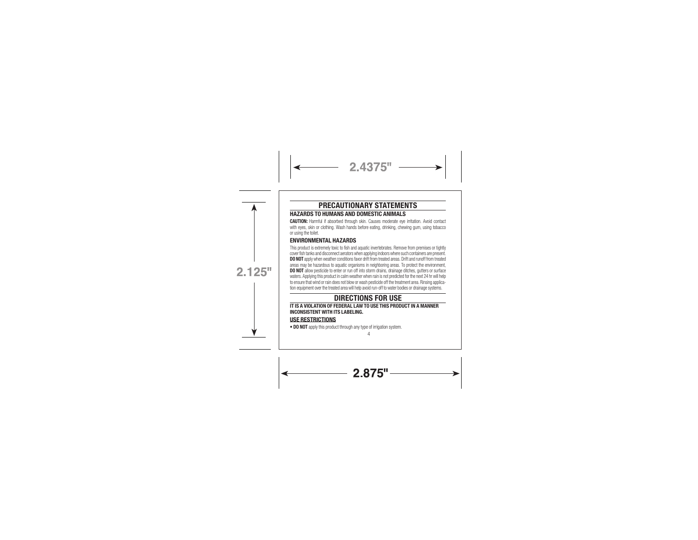### PRECAUTIONARY STATEMENTS

2.4375"

HAZARDS TO HUMANS AND DOMESTIC ANIMALS

CAUTION: Harmful if absorbed through skin. Causes moderate eye irritation. Avoid contact with eyes, skin or clothing. Wash hands before eating, drinking, chewing gum, using tobacco or using the toilet.

### ENVIRONMENTAL HAZARDS

This product is extremely toxic to fish and aquatic invertebrates. Remove from premises or tightly cover fish tanks and disconnect aerators when applying indoors where such containers are present. DO NOT apply when weather conditions favor drift from treated areas. Drift and runoff from treated areas may be hazardous to aquatic organisms in neighboring areas. To protect the environment,<br>**DO NOT** allow pesticide to enter or run off into storm drains, drainage ditches, gutters or surface waters. Applying this product in calm weather when rain is not predicted for the next 24 hr will help to ensure that wind or rain does not blow or wash pesticide off the treatment area. Rinsing application equipment over the treated area will help avoid run-off to water bodies or drainage systems.

 $2.125"$ 

### DIRECTIONS FOR USE

### IT IS A VIOLATION OF FEDERAL LAW TO USE THIS PRODUCT IN A MANNER INCONSISTENT WITH ITS LABELING. USE RESTRICTIONS

• DO NOT apply this product through any type of irrigation system.

4

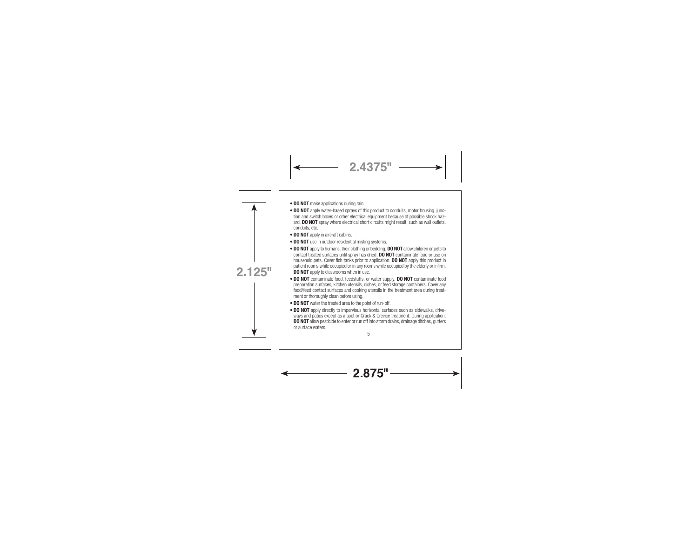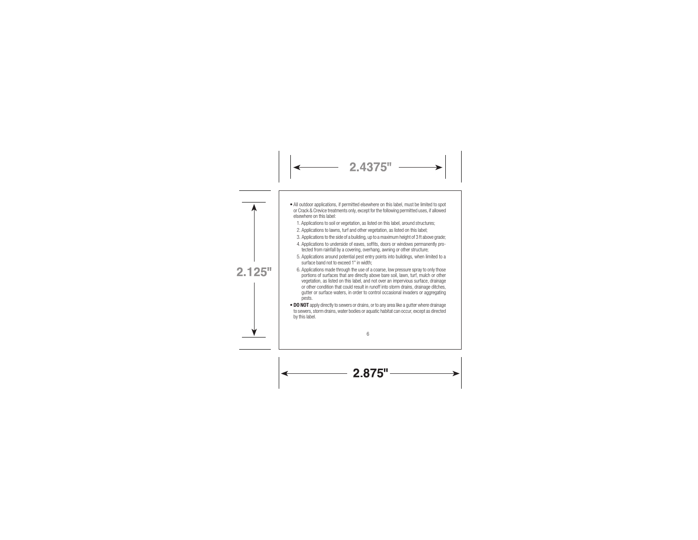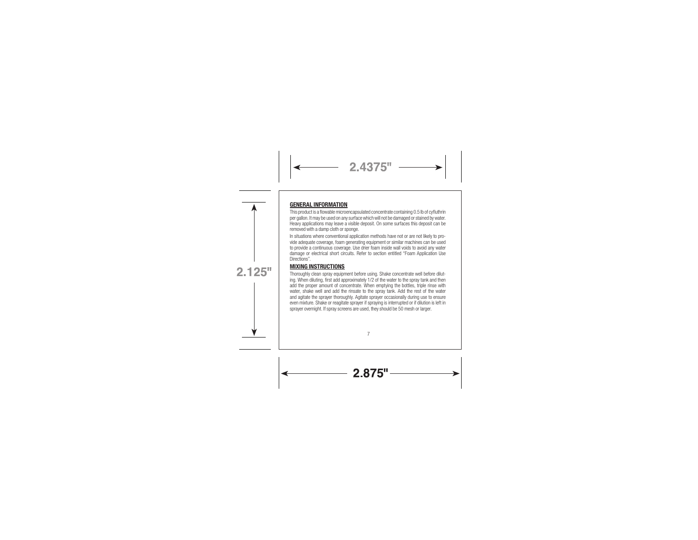### GENERAL INFORMATION



 $2.4375"$ 

vide adequate coverage, foam generating equipment or similar machines can be used to provide a continuous coverage. Use drier foam inside wall voids to avoid any water damage or electrical short circuits. Refer to section entitled "Foam Application Use Directions".

### MIXING INSTRUCTIONS



Thoroughly clean spray equipment before using. Shake concentrate well before diluting. When diluting, first add approximately 1/2 of the water to the spray tank and then add the proper amount of concentrate. When emptying the bottles, triple rinse with water, shake well and add the rinsate to the spray tank. Add the rest of the water and agitate the sprayer thoroughly. Agitate sprayer occasionally during use to ensure even mixture. Shake or reagitate sprayer if spraying is interrupted or if dilution is left in sprayer overnight. If spray screens are used, they should be 50 mesh or larger.

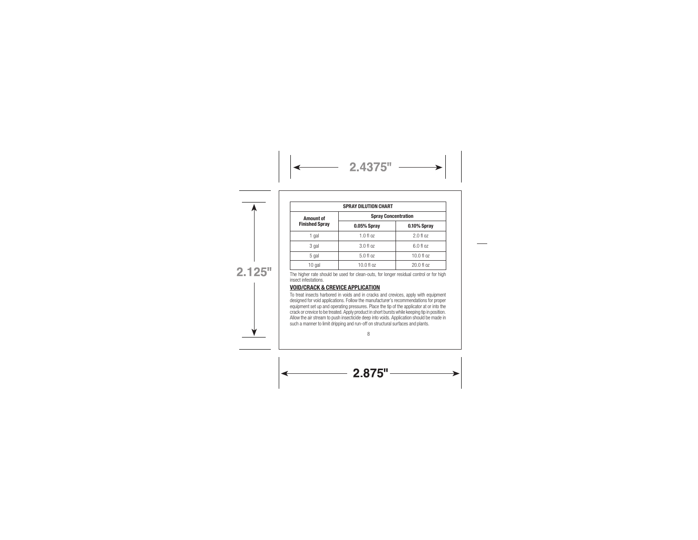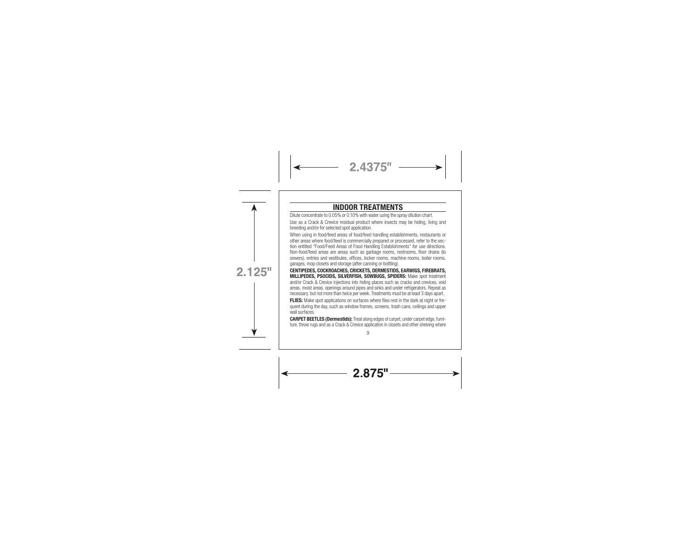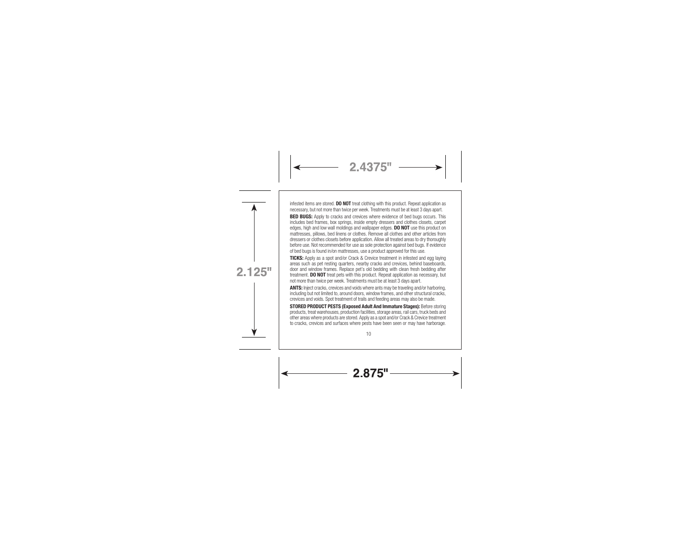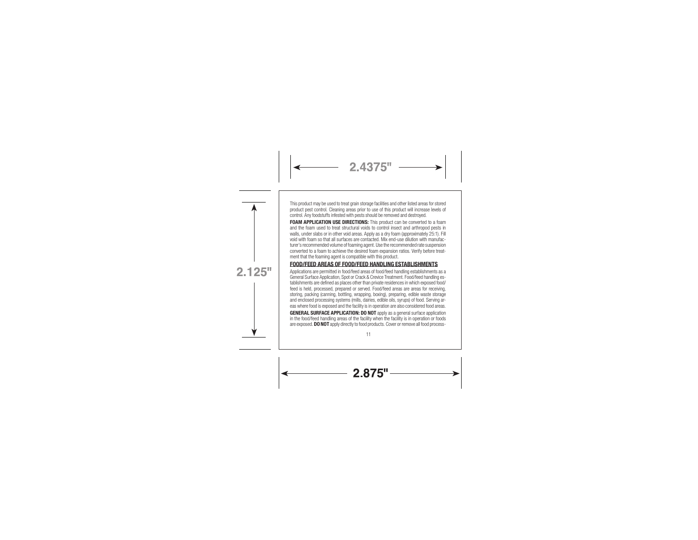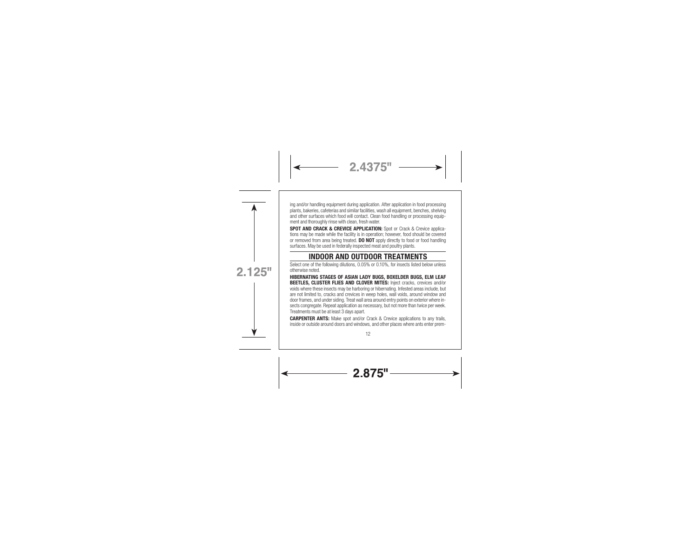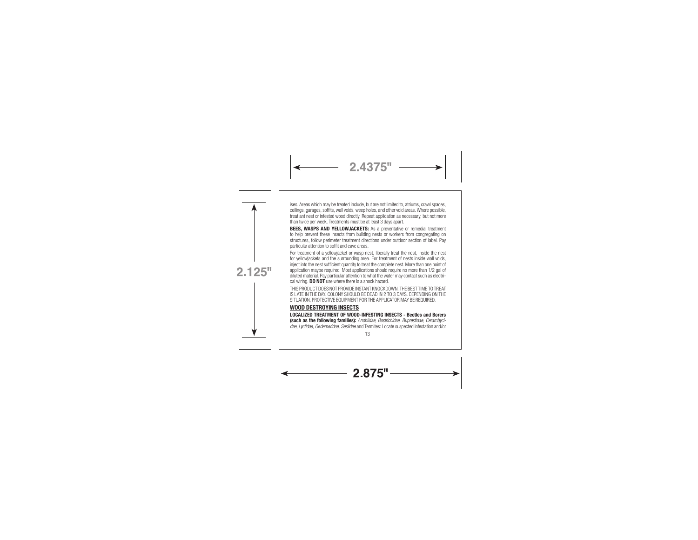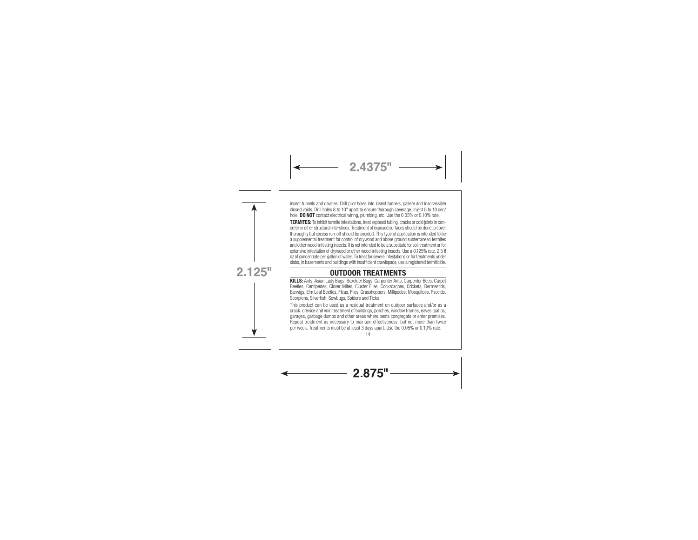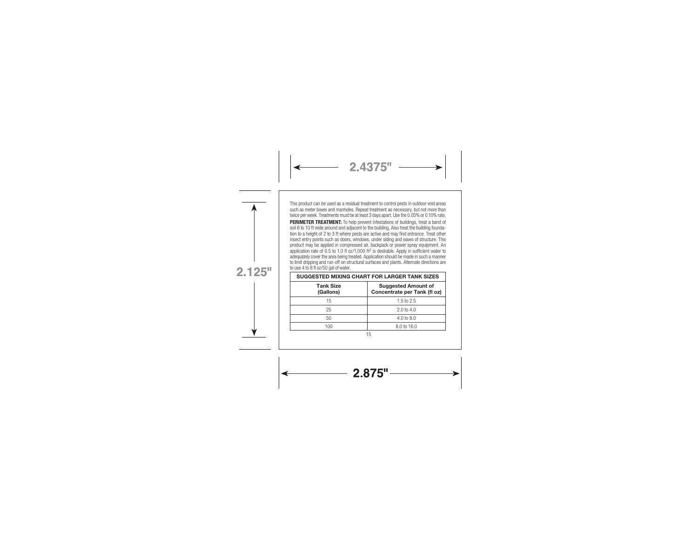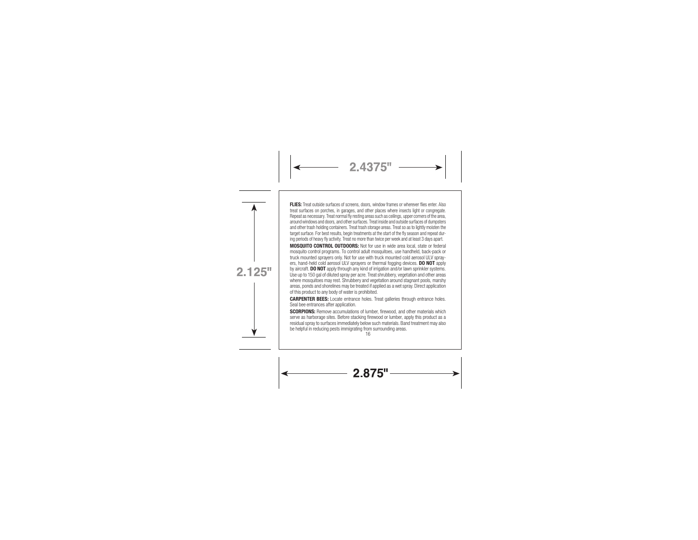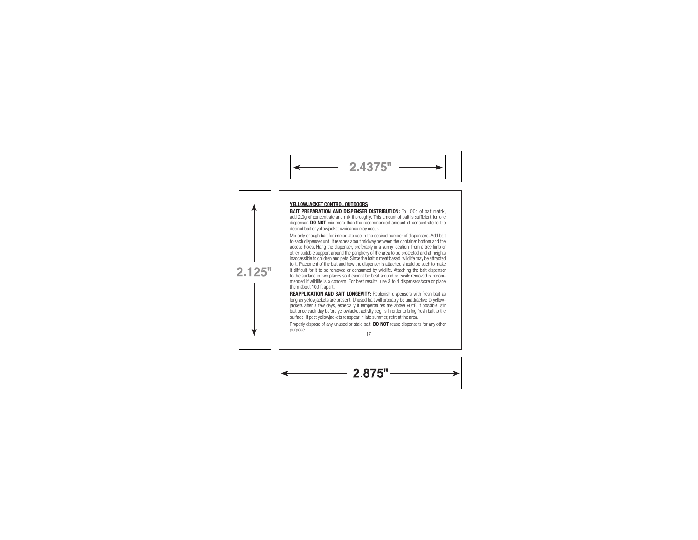### YELLOWJACKET CONTROL OUTDOORS

BAIT PREPARATION AND DISPENSER DISTRIBUTION: To 100g of bait matrix, add 2.0g of concentrate and mix thoroughly. This amount of bait is sufficient for one dispenser. DO NOT mix more than the recommended amount of concentrate to the desired bait or yellowjacket avoidance may occur.

 $2.4375"$ 

Mix only enough bait for immediate use in the desired number of dispensers. Add bait to each dispenser until it reaches about midway between the container bottom and the access holes. Hang the dispenser, preferably in a sunny location, from a tree limb or other suitable support around the periphery of the area to be protected and at heights inaccessible to children and pets. Since the bait is meat based, wildlife may be attracted to it. Placement of the bait and how the dispenser is attached should be such to make it difficult for it to be removed or consumed by wildlife. Attaching the bait dispenser to the surface in two places so it cannot be beat around or easily removed is recom-

mended if wildlife is a concern. For best results, use 3 to 4 dispensers/acre or place them about 100 ft apart.

REAPPLICATION AND BAIT LONGEVITY: Replenish dispensers with fresh bait as long as yellowjackets are present. Unused bait will probably be unattractive to yellowjackets after a few days, especially if temperatures are above 90°F. If possible, stir bait once each day before yellowjacket activity begins in order to bring fresh bait to the surface. If pest yellowjackets reappear in late summer, retreat the area. Properly dispose of any unused or stale bait. DO NOT reuse dispensers for any other

purpose. 17



 $2.125"$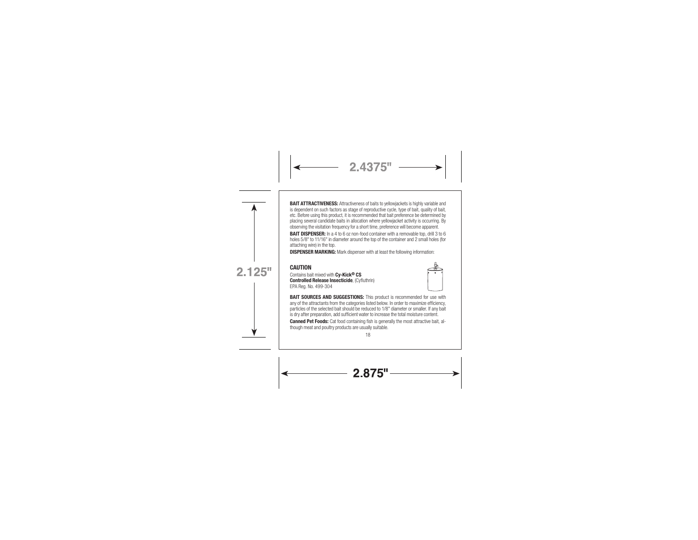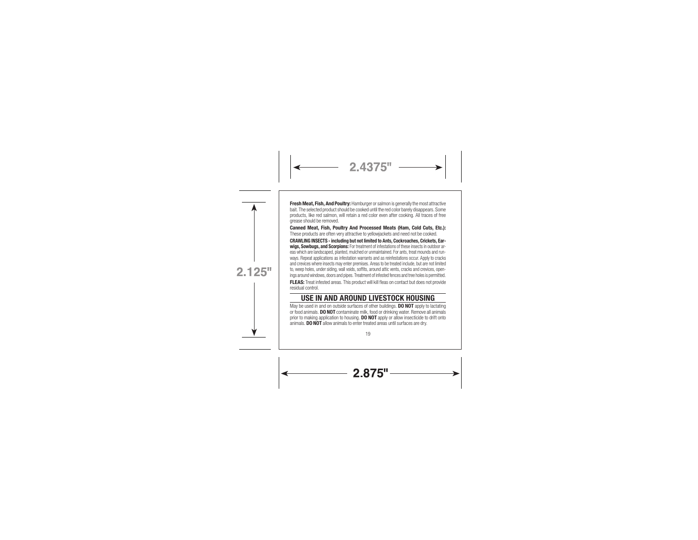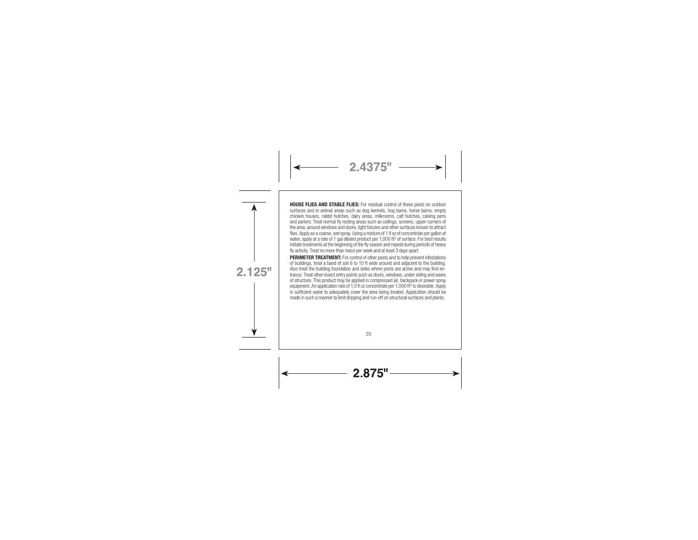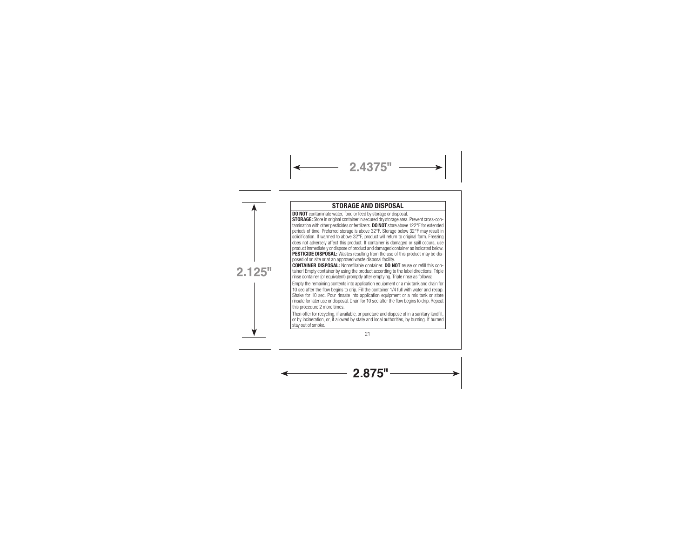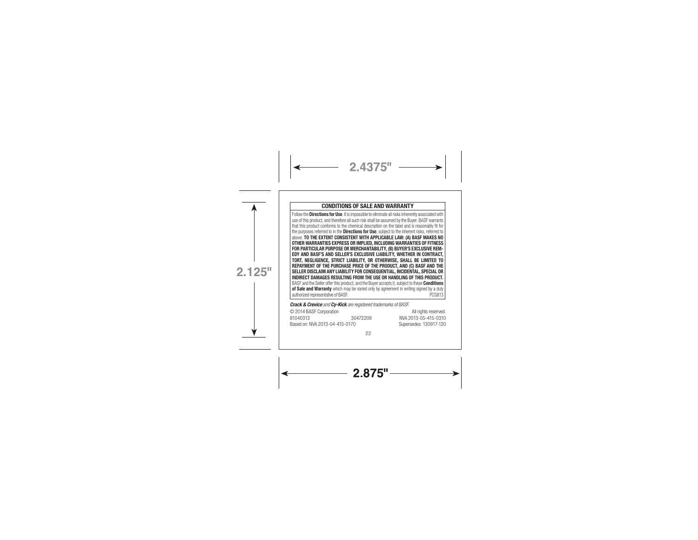